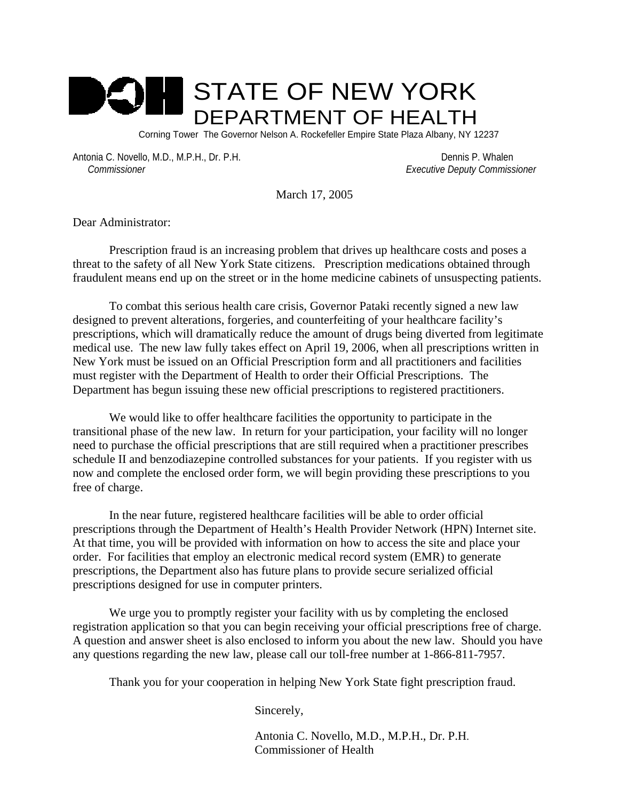

Corning Tower The Governor Nelson A. Rockefeller Empire State Plaza Albany, NY 12237

Antonia C. Novello, M.D., M.P.H., Dr. P.H. Dennis P. Whalen  *Commissioner Executive Deputy Commissioner*

March 17, 2005

Dear Administrator:

Prescription fraud is an increasing problem that drives up healthcare costs and poses a threat to the safety of all New York State citizens. Prescription medications obtained through fraudulent means end up on the street or in the home medicine cabinets of unsuspecting patients.

To combat this serious health care crisis, Governor Pataki recently signed a new law designed to prevent alterations, forgeries, and counterfeiting of your healthcare facility's prescriptions, which will dramatically reduce the amount of drugs being diverted from legitimate medical use. The new law fully takes effect on April 19, 2006, when all prescriptions written in New York must be issued on an Official Prescription form and all practitioners and facilities must register with the Department of Health to order their Official Prescriptions. The Department has begun issuing these new official prescriptions to registered practitioners.

We would like to offer healthcare facilities the opportunity to participate in the transitional phase of the new law. In return for your participation, your facility will no longer need to purchase the official prescriptions that are still required when a practitioner prescribes schedule II and benzodiazepine controlled substances for your patients. If you register with us now and complete the enclosed order form, we will begin providing these prescriptions to you free of charge.

In the near future, registered healthcare facilities will be able to order official prescriptions through the Department of Health's Health Provider Network (HPN) Internet site. At that time, you will be provided with information on how to access the site and place your order. For facilities that employ an electronic medical record system (EMR) to generate prescriptions, the Department also has future plans to provide secure serialized official prescriptions designed for use in computer printers.

We urge you to promptly register your facility with us by completing the enclosed registration application so that you can begin receiving your official prescriptions free of charge. A question and answer sheet is also enclosed to inform you about the new law. Should you have any questions regarding the new law, please call our toll-free number at 1-866-811-7957.

Thank you for your cooperation in helping New York State fight prescription fraud.

Sincerely,

 Antonia C. Novello, M.D., M.P.H., Dr. P.H. Commissioner of Health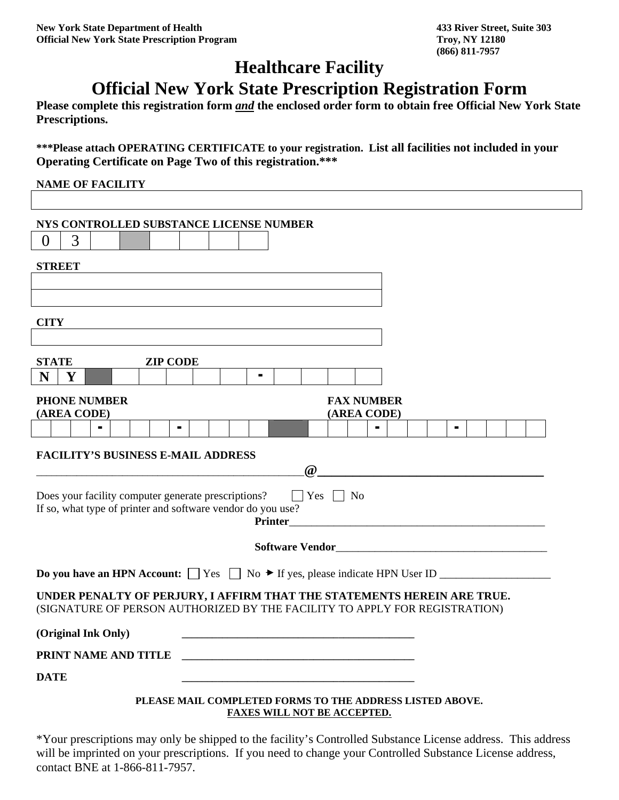# **Healthcare Facility**

## **Official New York State Prescription Registration Form**

**Please complete this registration form** *and* **the enclosed order form to obtain free Official New York State Prescriptions.** 

**\*\*\*Please attach OPERATING CERTIFICATE to your registration. List all facilities not included in your Operating Certificate on Page Two of this registration.\*\*\***

| <b>NAME OF FACILITY</b>                                                                                                                                      |
|--------------------------------------------------------------------------------------------------------------------------------------------------------------|
|                                                                                                                                                              |
| NYS CONTROLLED SUBSTANCE LICENSE NUMBER                                                                                                                      |
| 3<br>$\theta$                                                                                                                                                |
| <b>STREET</b>                                                                                                                                                |
|                                                                                                                                                              |
|                                                                                                                                                              |
| <b>CITY</b>                                                                                                                                                  |
|                                                                                                                                                              |
| <b>ZIP CODE</b><br><b>STATE</b>                                                                                                                              |
| N<br>Y<br>$\blacksquare$                                                                                                                                     |
| <b>PHONE NUMBER</b><br><b>FAX NUMBER</b><br>(AREA CODE)<br>(AREA CODE)                                                                                       |
|                                                                                                                                                              |
| <b>FACILITY'S BUSINESS E-MAIL ADDRESS</b><br>$\omega$                                                                                                        |
| $\Box$ Yes $\Box$ No<br>Does your facility computer generate prescriptions?<br>If so, what type of printer and software vendor do you use?<br><b>Printer</b> |
|                                                                                                                                                              |
|                                                                                                                                                              |
| UNDER PENALTY OF PERJURY, I AFFIRM THAT THE STATEMENTS HEREIN ARE TRUE.<br>(SIGNATURE OF PERSON AUTHORIZED BY THE FACILITY TO APPLY FOR REGISTRATION)        |
| (Original Ink Only)                                                                                                                                          |
| PRINT NAME AND TITLE<br><u> 2000 - Jan James James James James James James James James James James James James James James James James J</u>                 |
| <b>DATE</b>                                                                                                                                                  |
| PLEASE MAIL COMPLETED FORMS TO THE ADDRESS LISTED ABOVE.<br>FAXES WILL NOT BE ACCEPTED.                                                                      |

\*Your prescriptions may only be shipped to the facility's Controlled Substance License address. This address will be imprinted on your prescriptions. If you need to change your Controlled Substance License address, contact BNE at 1-866-811-7957.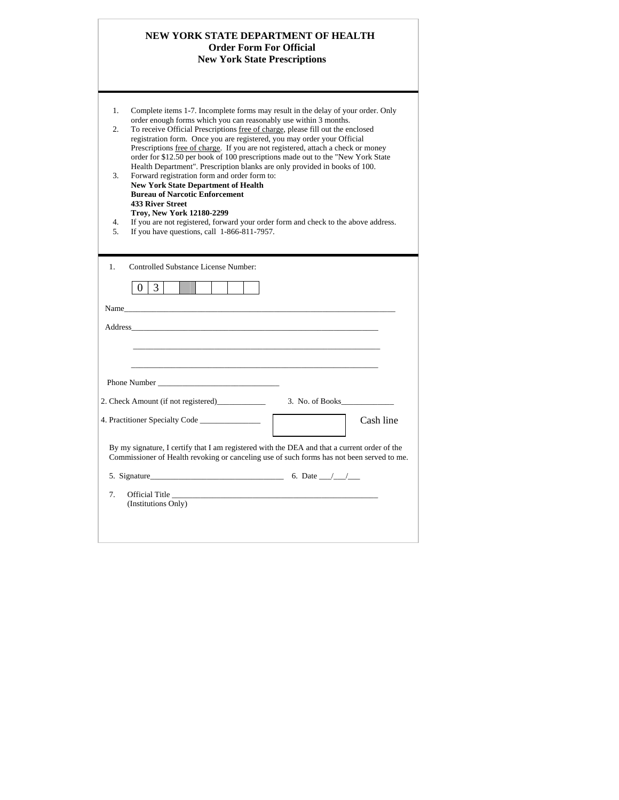|                                        | NEW YORK STATE DEPARTMENT OF HEALTH                                                                                                                                                                                                                                                                                                                                                                                                                                                                                                                                                                                                                                                                                                                                                                                                                                                                         | <b>Order Form For Official</b><br><b>New York State Prescriptions</b> |           |
|----------------------------------------|-------------------------------------------------------------------------------------------------------------------------------------------------------------------------------------------------------------------------------------------------------------------------------------------------------------------------------------------------------------------------------------------------------------------------------------------------------------------------------------------------------------------------------------------------------------------------------------------------------------------------------------------------------------------------------------------------------------------------------------------------------------------------------------------------------------------------------------------------------------------------------------------------------------|-----------------------------------------------------------------------|-----------|
| $\mathbf{1}$ .<br>2.<br>3.<br>4.<br>5. | Complete items 1-7. Incomplete forms may result in the delay of your order. Only<br>order enough forms which you can reasonably use within 3 months.<br>To receive Official Prescriptions free of charge, please fill out the enclosed<br>registration form. Once you are registered, you may order your Official<br>Prescriptions free of charge. If you are not registered, attach a check or money<br>order for \$12.50 per book of 100 prescriptions made out to the "New York State"<br>Health Department". Prescription blanks are only provided in books of 100.<br>Forward registration form and order form to:<br><b>New York State Department of Health</b><br><b>Bureau of Narcotic Enforcement</b><br><b>433 River Street</b><br>Trov, New York 12180-2299<br>If you are not registered, forward your order form and check to the above address.<br>If you have questions, call 1-866-811-7957. |                                                                       |           |
| 1.                                     | Controlled Substance License Number:<br>$\overline{3}$<br>$\theta$                                                                                                                                                                                                                                                                                                                                                                                                                                                                                                                                                                                                                                                                                                                                                                                                                                          |                                                                       |           |
|                                        | Name was a series of the series of the series of the series of the series of the series of the series of the series of the series of the series of the series of the series of the series of the series of the series of the s                                                                                                                                                                                                                                                                                                                                                                                                                                                                                                                                                                                                                                                                              |                                                                       |           |
|                                        | Phone Number                                                                                                                                                                                                                                                                                                                                                                                                                                                                                                                                                                                                                                                                                                                                                                                                                                                                                                |                                                                       |           |
|                                        |                                                                                                                                                                                                                                                                                                                                                                                                                                                                                                                                                                                                                                                                                                                                                                                                                                                                                                             |                                                                       |           |
|                                        |                                                                                                                                                                                                                                                                                                                                                                                                                                                                                                                                                                                                                                                                                                                                                                                                                                                                                                             |                                                                       | Cash line |
|                                        | By my signature, I certify that I am registered with the DEA and that a current order of the<br>Commissioner of Health revoking or canceling use of such forms has not been served to me.                                                                                                                                                                                                                                                                                                                                                                                                                                                                                                                                                                                                                                                                                                                   |                                                                       |           |
|                                        | 5. Signature 6. Date $\frac{1}{\sqrt{2}}$ 6. Date $\frac{1}{\sqrt{2}}$                                                                                                                                                                                                                                                                                                                                                                                                                                                                                                                                                                                                                                                                                                                                                                                                                                      |                                                                       |           |
|                                        |                                                                                                                                                                                                                                                                                                                                                                                                                                                                                                                                                                                                                                                                                                                                                                                                                                                                                                             | Official Title                                                        |           |

 $\overline{\phantom{a}}$ 

 $\Box$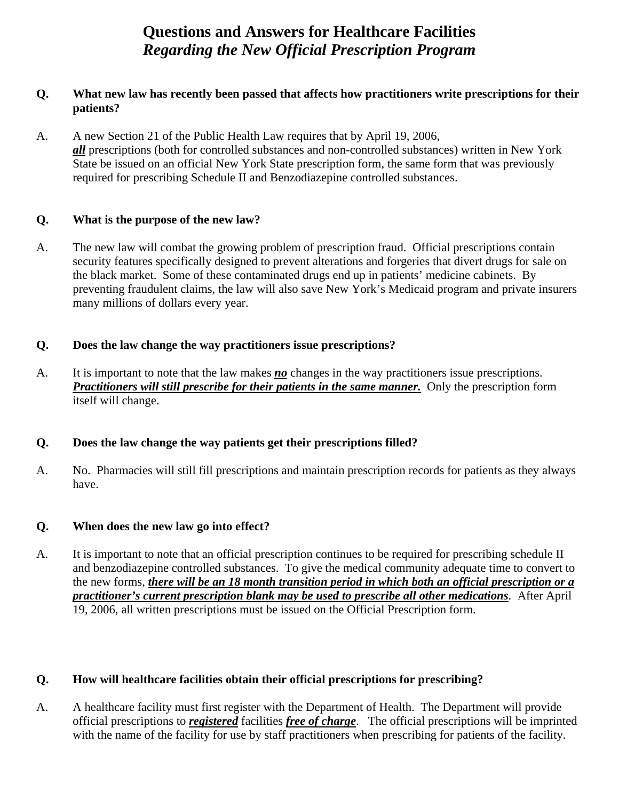## **Questions and Answers for Healthcare Facilities**  *Regarding the New Official Prescription Program*

#### **Q. What new law has recently been passed that affects how practitioners write prescriptions for their patients?**

A. A new Section 21 of the Public Health Law requires that by April 19, 2006, *all* prescriptions (both for controlled substances and non-controlled substances) written in New York State be issued on an official New York State prescription form, the same form that was previously required for prescribing Schedule II and Benzodiazepine controlled substances.

#### **Q. What is the purpose of the new law?**

A. The new law will combat the growing problem of prescription fraud. Official prescriptions contain security features specifically designed to prevent alterations and forgeries that divert drugs for sale on the black market. Some of these contaminated drugs end up in patients' medicine cabinets. By preventing fraudulent claims, the law will also save New York's Medicaid program and private insurers many millions of dollars every year.

#### **Q. Does the law change the way practitioners issue prescriptions?**

A. It is important to note that the law makes *no* changes in the way practitioners issue prescriptions. *Practitioners will still prescribe for their patients in the same manner.* Only the prescription form itself will change.

## **Q. Does the law change the way patients get their prescriptions filled?**

A. No. Pharmacies will still fill prescriptions and maintain prescription records for patients as they always have.

## **Q. When does the new law go into effect?**

A. It is important to note that an official prescription continues to be required for prescribing schedule II and benzodiazepine controlled substances. To give the medical community adequate time to convert to the new forms, *there will be an 18 month transition period in which both an official prescription or a practitioner's current prescription blank may be used to prescribe all other medications*. After April 19, 2006, all written prescriptions must be issued on the Official Prescription form.

#### **Q. How will healthcare facilities obtain their official prescriptions for prescribing?**

A. A healthcare facility must first register with the Department of Health. The Department will provide official prescriptions to *registered* facilities *free of charge*. The official prescriptions will be imprinted with the name of the facility for use by staff practitioners when prescribing for patients of the facility.